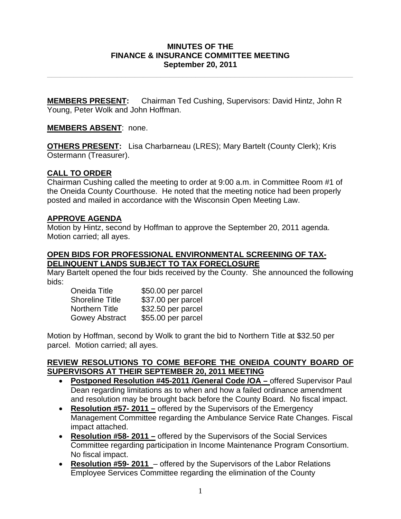### **MINUTES OF THE FINANCE & INSURANCE COMMITTEE MEETING September 20, 2011**

**\_\_\_\_\_\_\_\_\_\_\_\_\_\_\_\_\_\_\_\_\_\_\_\_\_\_\_\_\_\_\_\_\_\_\_\_\_\_\_\_\_\_\_\_\_\_\_\_\_\_\_\_\_\_\_\_\_\_\_\_\_\_\_\_\_\_\_\_\_\_** 

**MEMBERS PRESENT:** Chairman Ted Cushing, Supervisors: David Hintz, John R Young, Peter Wolk and John Hoffman.

# **MEMBERS ABSENT**: none.

**OTHERS PRESENT:** Lisa Charbarneau (LRES); Mary Bartelt (County Clerk); Kris Ostermann (Treasurer).

# **CALL TO ORDER**

Chairman Cushing called the meeting to order at 9:00 a.m. in Committee Room #1 of the Oneida County Courthouse. He noted that the meeting notice had been properly posted and mailed in accordance with the Wisconsin Open Meeting Law.

# **APPROVE AGENDA**

Motion by Hintz, second by Hoffman to approve the September 20, 2011 agenda. Motion carried; all ayes.

### **OPEN BIDS FOR PROFESSIONAL ENVIRONMENTAL SCREENING OF TAX-DELINQUENT LANDS SUBJECT TO TAX FORECLOSURE**

Mary Bartelt opened the four bids received by the County. She announced the following bids:

| Oneida Title           | \$50.00 per parcel |
|------------------------|--------------------|
| <b>Shoreline Title</b> | \$37.00 per parcel |
| Northern Title         | \$32.50 per parcel |
| <b>Gowey Abstract</b>  | \$55.00 per parcel |

Motion by Hoffman, second by Wolk to grant the bid to Northern Title at \$32.50 per parcel. Motion carried; all ayes.

#### **REVIEW RESOLUTIONS TO COME BEFORE THE ONEIDA COUNTY BOARD OF SUPERVISORS AT THEIR SEPTEMBER 20, 2011 MEETING**

- **Postponed Resolution #45-2011 /General Code /OA** offered Supervisor Paul Dean regarding limitations as to when and how a failed ordinance amendment and resolution may be brought back before the County Board. No fiscal impact.
- **Resolution #57- 2011 –** offered by the Supervisors of the Emergency Management Committee regarding the Ambulance Service Rate Changes. Fiscal impact attached.
- **Resolution #58- 2011 –** offered by the Supervisors of the Social Services Committee regarding participation in Income Maintenance Program Consortium. No fiscal impact.
- **Resolution #59- 2011**  offered by the Supervisors of the Labor Relations Employee Services Committee regarding the elimination of the County